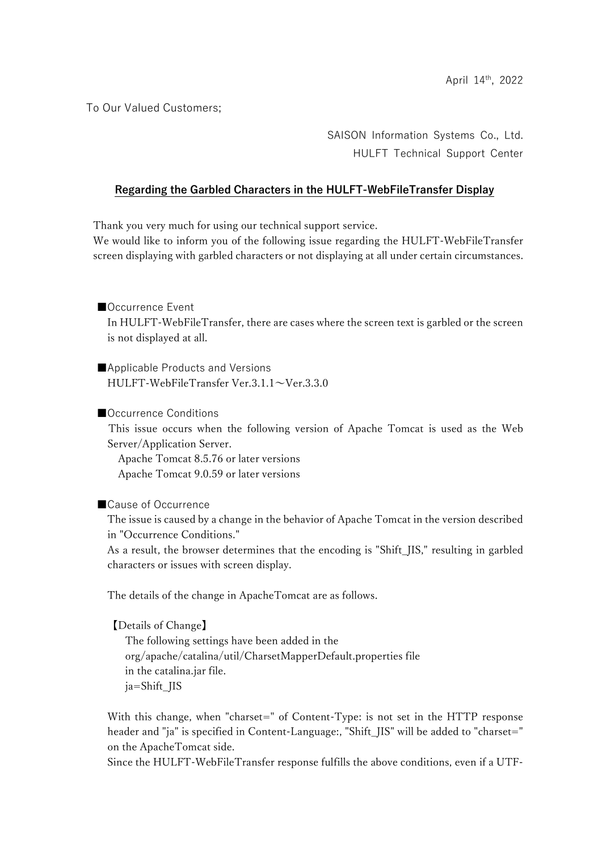To Our Valued Customers;

SAISON Information Systems Co., Ltd. HULFT Technical Support Center

## Regarding the Garbled Characters in the HULFT-WebFileTransfer Display

Thank you very much for using our technical support service.

We would like to inform you of the following issue regarding the HULFT-WebFileTransfer screen displaying with garbled characters or not displaying at all under certain circumstances.

## ■Occurrence Event

In HULFT-WebFileTransfer, there are cases where the screen text is garbled or the screen is not displayed at all.

■Applicable Products and Versions HULFT-WebFileTransfer Ver.3.1.1~Ver.3.3.0

#### ■Occurrence Conditions

This issue occurs when the following version of Apache Tomcat is used as the Web Server/Application Server.

 Apache Tomcat 8.5.76 or later versions Apache Tomcat 9.0.59 or later versions

■Cause of Occurrence

 The issue is caused by a change in the behavior of Apache Tomcat in the version described in "Occurrence Conditions."

 As a result, the browser determines that the encoding is "Shift\_JIS," resulting in garbled characters or issues with screen display.

The details of the change in ApacheTomcat are as follows.

 【Details of Change】 The following settings have been added in the org/apache/catalina/util/CharsetMapperDefault.properties file in the catalina.jar file. ja=Shift\_JIS

With this change, when "charset=" of Content-Type: is not set in the HTTP response header and "ja" is specified in Content-Language:, "Shift\_JIS" will be added to "charset=" on the ApacheTomcat side.

Since the HULFT-WebFileTransfer response fulfills the above conditions, even if a UTF-